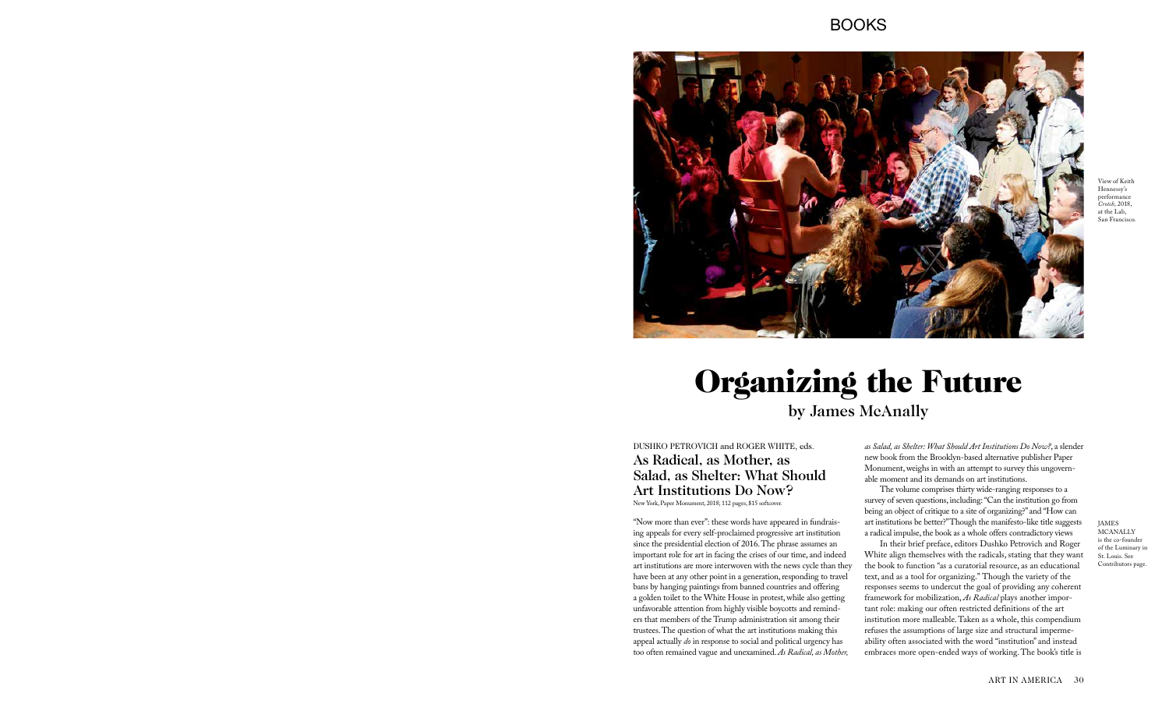## BOOKS



## Organizing the Future by James McAnally

DUSHKO PETROVICH and ROGER WHITE, eds. As Radical, as Mother, as Salad, as Shelter: What Should Art Institutions Do Now? New York, Paper Monument, 2018; 112 pages, \$15 softcover.

"Now more than ever": these words have appeared in fundraising appeals for every self-proclaimed progressive art institution since the presidential election of 2016. The phrase assumes an important role for art in facing the crises of our time, and indeed art institutions are more interwoven with the news cycle than they have been at any other point in a generation, responding to travel bans by hanging paintings from banned countries and offering a golden toilet to the White House in protest, while also getting unfavorable attention from highly visible boycotts and reminders that members of the Trump administration sit among their trustees. The question of what the art institutions making this appeal actually *do* in response to social and political urgency has too often remained vague and unexamined. *As Radical, as Mother,* 

JAMES **MCANALLY** is the co-founder of the Luminary in St. Louis. See Contributors page.

View of Keith Hennessy's performance *Crotch*, 2018, at the Lab, San Francisco.

*as Salad, as Shelter: What Should Art Institutions Do Now?*, a slender new book from the Brooklyn-based alternative publisher Paper Monument, weighs in with an attempt to survey this ungovernable moment and its demands on art institutions.

The volume comprises thirty wide-ranging responses to a survey of seven questions, including: "Can the institution go from being an object of critique to a site of organizing?" and "How can art institutions be better?" Though the manifesto-like title suggests a radical impulse, the book as a whole offers contradictory views

In their brief preface, editors Dushko Petrovich and Roger White align themselves with the radicals, stating that they want the book to function "as a curatorial resource, as an educational text, and as a tool for organizing." Though the variety of the responses seems to undercut the goal of providing any coherent framework for mobilization, *As Radical* plays another important role: making our often restricted definitions of the art institution more malleable. Taken as a whole, this compendium refuses the assumptions of large size and structural impermeability often associated with the word "institution" and instead embraces more open-ended ways of working. The book's title is